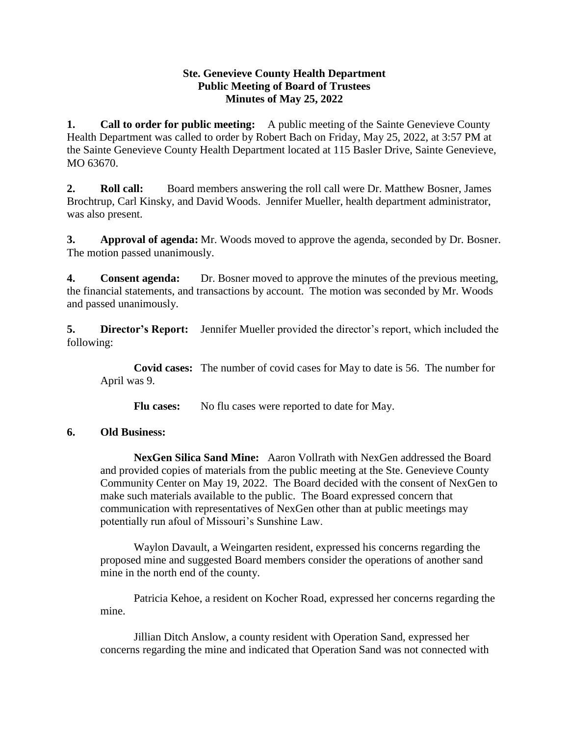## **Ste. Genevieve County Health Department Public Meeting of Board of Trustees Minutes of May 25, 2022**

**1. Call to order for public meeting:** A public meeting of the Sainte Genevieve County Health Department was called to order by Robert Bach on Friday, May 25, 2022, at 3:57 PM at the Sainte Genevieve County Health Department located at 115 Basler Drive, Sainte Genevieve, MO 63670.

**2. Roll call:** Board members answering the roll call were Dr. Matthew Bosner, James Brochtrup, Carl Kinsky, and David Woods. Jennifer Mueller, health department administrator, was also present.

**3. Approval of agenda:** Mr. Woods moved to approve the agenda, seconded by Dr. Bosner. The motion passed unanimously.

**4. Consent agenda:** Dr. Bosner moved to approve the minutes of the previous meeting, the financial statements, and transactions by account. The motion was seconded by Mr. Woods and passed unanimously.

**5. Director's Report:** Jennifer Mueller provided the director's report, which included the following:

**Covid cases:** The number of covid cases for May to date is 56. The number for April was 9.

Flu cases: No flu cases were reported to date for May.

## **6. Old Business:**

**NexGen Silica Sand Mine:** Aaron Vollrath with NexGen addressed the Board and provided copies of materials from the public meeting at the Ste. Genevieve County Community Center on May 19, 2022. The Board decided with the consent of NexGen to make such materials available to the public. The Board expressed concern that communication with representatives of NexGen other than at public meetings may potentially run afoul of Missouri's Sunshine Law.

Waylon Davault, a Weingarten resident, expressed his concerns regarding the proposed mine and suggested Board members consider the operations of another sand mine in the north end of the county.

Patricia Kehoe, a resident on Kocher Road, expressed her concerns regarding the mine.

Jillian Ditch Anslow, a county resident with Operation Sand, expressed her concerns regarding the mine and indicated that Operation Sand was not connected with